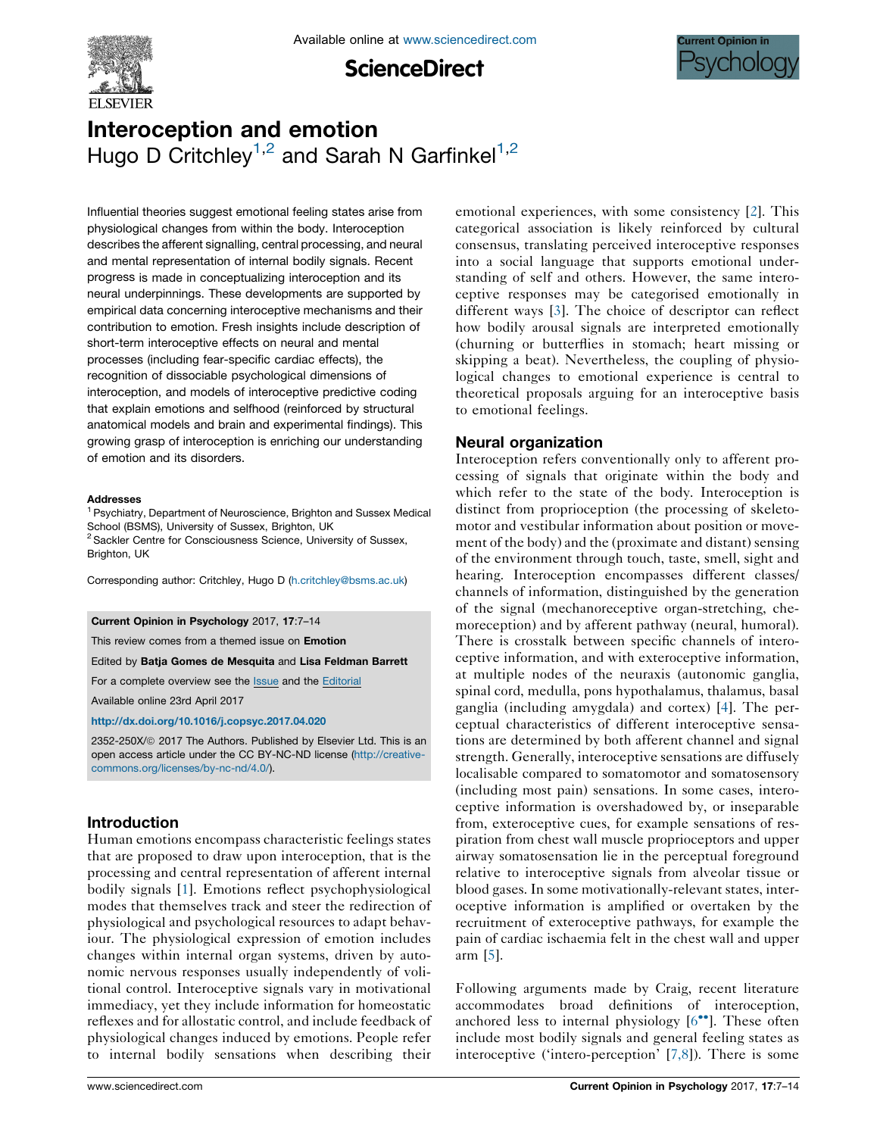

**ScienceDirect** 



# Interoception and emotion Hugo D Critchley<sup>1,2</sup> and Sarah N Garfinkel<sup>1,2</sup>

Influential theories suggest emotional feeling states arise from physiological changes from within the body. Interoception describes the afferent signalling, central processing, and neural and mental representation of internal bodily signals. Recent progress is made in conceptualizing interoception and its neural underpinnings. These developments are supported by empirical data concerning interoceptive mechanisms and their contribution to emotion. Fresh insights include description of short-term interoceptive effects on neural and mental processes (including fear-specific cardiac effects), the recognition of dissociable psychological dimensions of interoception, and models of interoceptive predictive coding that explain emotions and selfhood (reinforced by structural anatomical models and brain and experimental findings). This growing grasp of interoception is enriching our understanding of emotion and its disorders.

#### Addresses

<sup>1</sup> Psychiatry, Department of Neuroscience, Brighton and Sussex Medical School (BSMS), University of Sussex, Brighton, UK <sup>2</sup> Sackler Centre for Consciousness Science, University of Sussex, Brighton, UK

Corresponding author: Critchley, Hugo D ([h.critchley@bsms.ac.uk\)](mailto:h.critchley@bsms.ac.uk)

#### Current Opinion in Psychology 2017, 17:7–14

This review comes from a themed issue on Emotion

Edited by Batja Gomes de Mesquita and Lisa Feldman Barrett

For a complete overview see the [Issue](http://www.sciencedirect.com/science/journal/2352250X/17) and the [Editorial](http://dx.doi.org/10.1016/j.copsyc.2017.07.030)

Available online 23rd April 2017

#### <http://dx.doi.org/10.1016/j.copsyc.2017.04.020>

2352-250X/@ 2017 The Authors. Published by Elsevier Ltd. This is an open access article under the CC BY-NC-ND license [\(http://creative](http://creativecommons.org/licenses/by-nc-nd/4.0/)[commons.org/licenses/by-nc-nd/4.0/](http://creativecommons.org/licenses/by-nc-nd/4.0/)).

## Introduction

Human emotions encompass characteristic feelings states that are proposed to draw upon interoception, that is the processing and central representation of afferent internal bodily signals [[1\]](#page-5-0). Emotions reflect psychophysiological modes that themselves track and steer the redirection of physiological and psychological resources to adapt behaviour. The physiological expression of emotion includes changes within internal organ systems, driven by autonomic nervous responses usually independently of volitional control. Interoceptive signals vary in motivational immediacy, yet they include information for homeostatic reflexes and for allostatic control, and include feedback of physiological changes induced by emotions. People refer to internal bodily sensations when describing their

emotional experiences, with some consistency [\[2](#page-5-0)]. This categorical association is likely reinforced by cultural consensus, translating perceived interoceptive responses into a social language that supports emotional understanding of self and others. However, the same interoceptive responses may be categorised emotionally in different ways [[3\]](#page-5-0). The choice of descriptor can reflect how bodily arousal signals are interpreted emotionally (churning or butterflies in stomach; heart missing or skipping a beat). Nevertheless, the coupling of physiological changes to emotional experience is central to theoretical proposals arguing for an interoceptive basis to emotional feelings.

## Neural organization

Interoception refers conventionally only to afferent processing of signals that originate within the body and which refer to the state of the body. Interoception is distinct from proprioception (the processing of skeletomotor and vestibular information about position or movement of the body) and the (proximate and distant) sensing of the environment through touch, taste, smell, sight and hearing. Interoception encompasses different classes/ channels of information, distinguished by the generation of the signal (mechanoreceptive organ-stretching, chemoreception) and by afferent pathway (neural, humoral). There is crosstalk between specific channels of interoceptive information, and with exteroceptive information, at multiple nodes of the neuraxis (autonomic ganglia, spinal cord, medulla, pons hypothalamus, thalamus, basal ganglia (including amygdala) and cortex) [[4\]](#page-5-0). The perceptual characteristics of different interoceptive sensations are determined by both afferent channel and signal strength. Generally, interoceptive sensations are diffusely localisable compared to somatomotor and somatosensory (including most pain) sensations. In some cases, interoceptive information is overshadowed by, or inseparable from, exteroceptive cues, for example sensations of respiration from chest wall muscle proprioceptors and upper airway somatosensation lie in the perceptual foreground relative to interoceptive signals from alveolar tissue or blood gases. In some motivationally-relevant states, interoceptive information is amplified or overtaken by the recruitment of exteroceptive pathways, for example the pain of cardiac ischaemia felt in the chest wall and upper arm [[5\]](#page-5-0).

Following arguments made by Craig, recent literature accommodates broad definitions of interoception, anchored less to internal physiology  $[6\text{''}$ . [These](#page-5-0) often include most bodily signals and general feeling states as interoceptive ('intero-perception' [[7,8](#page-5-0)]). There is some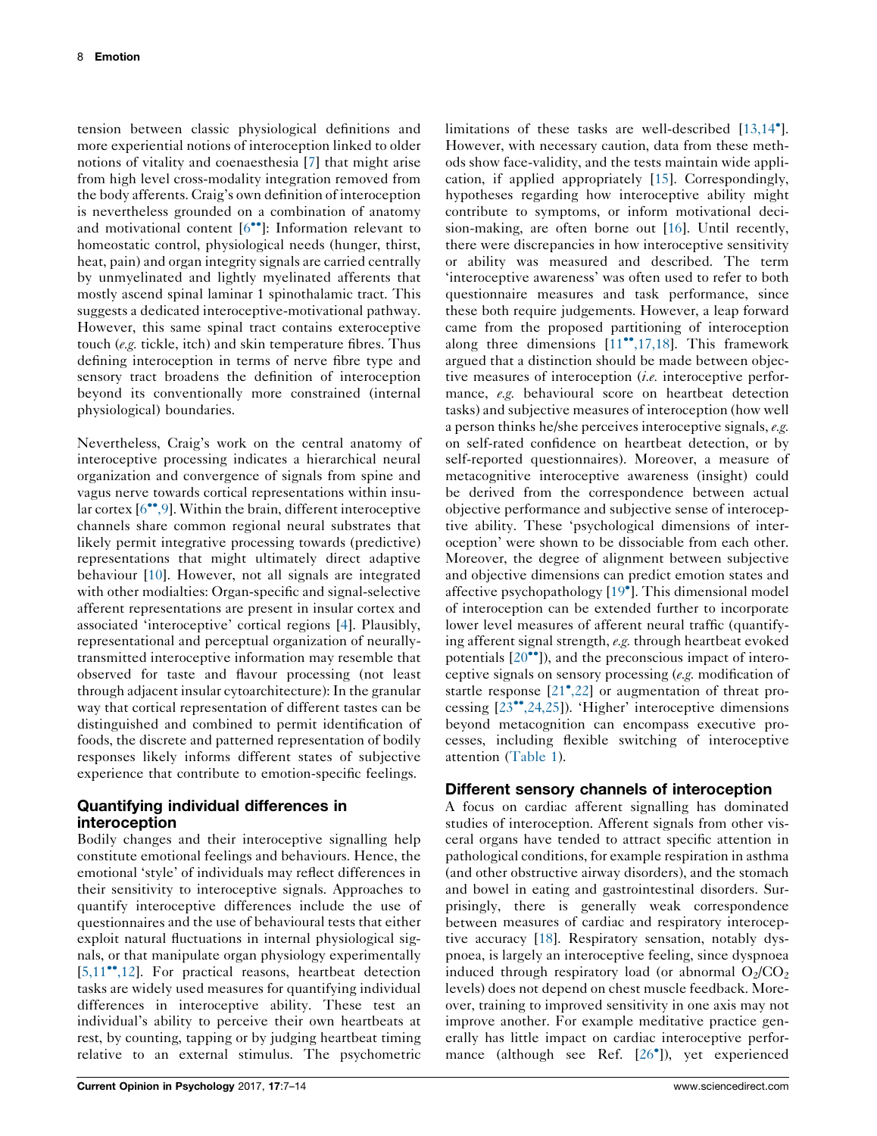tension between classic physiological definitions and more experiential notions of interoception linked to older notions of vitality and coenaesthesia [\[7](#page-5-0)] that might arise from high level cross-modality integration removed from the body afferents. Craig's own definition of interoception is nevertheless grounded on a combination of anatomy and motivational content  $[6\text{°}]$ : [Information](#page-5-0) relevant to homeostatic control, physiological needs (hunger, thirst, heat, pain) and organ integrity signals are carried centrally by unmyelinated and lightly myelinated afferents that mostly ascend spinal laminar 1 spinothalamic tract. This suggests a dedicated interoceptive-motivational pathway. However, this same spinal tract contains exteroceptive touch (e.g. tickle, itch) and skin temperature fibres. Thus defining interoception in terms of nerve fibre type and sensory tract broadens the definition of interoception beyond its conventionally more constrained (internal physiological) boundaries.

Nevertheless, Craig's work on the central anatomy of interoceptive processing indicates a hierarchical neural organization and convergence of signals from spine and vagus nerve towards cortical representations within insular cortex  $[6\degree, 9]$ . Within the brain, different interoceptive channels share common regional neural substrates that likely permit integrative processing towards (predictive) representations that might ultimately direct adaptive behaviour [[10](#page-5-0)]. However, not all signals are integrated with other modialties: Organ-specific and signal-selective afferent representations are present in insular cortex and associated 'interoceptive' cortical regions [\[4](#page-5-0)]. Plausibly, representational and perceptual organization of neurallytransmitted interoceptive information may resemble that observed for taste and flavour processing (not least through adjacent insular cytoarchitecture): In the granular way that cortical representation of different tastes can be distinguished and combined to permit identification of foods, the discrete and patterned representation of bodily responses likely informs different states of subjective experience that contribute to emotion-specific feelings.

# Quantifying individual differences in interoception

Bodily changes and their interoceptive signalling help constitute emotional feelings and behaviours. Hence, the emotional 'style' of individuals may reflect differences in their sensitivity to interoceptive signals. Approaches to quantify interoceptive differences include the use of questionnaires and the use of behavioural tests that either exploit natural fluctuations in internal physiological signals, or that manipulate organ physiology experimentally  $[5,11$ <sup> $\cdot\cdot$ </sup>,12]. For practical reasons, heartbeat detection tasks are widely used measures for quantifying individual differences in interoceptive ability. These test an individual's ability to perceive their own heartbeats at rest, by counting, tapping or by judging heartbeat timing relative to an external stimulus. The psychometric

limitations of these tasks are well-described [\[13,14](#page-6-0)<sup>°</sup>]. However, with necessary caution, data from these methods show face-validity, and the tests maintain wide application, if applied appropriately [\[15](#page-6-0)]. Correspondingly, hypotheses regarding how interoceptive ability might contribute to symptoms, or inform motivational decision-making, are often borne out [[16\]](#page-6-0). Until recently, there were discrepancies in how interoceptive sensitivity or ability was measured and described. The term 'interoceptive awareness' was often used to refer to both questionnaire measures and task performance, since these both require judgements. However, a leap forward came from the proposed partitioning of interoception along three dimensions  $[11^{\bullet}, 17, 18]$ . This framework argued that a distinction should be made between objective measures of interoception *(i.e.* interoceptive performance, e.g. behavioural score on heartbeat detection tasks) and subjective measures of interoception (how well <sup>a</sup> person thinks he/she perceives interoceptive signals, e.g. on self-rated confidence on heartbeat detection, or by self-reported questionnaires). Moreover, a measure of metacognitive interoceptive awareness (insight) could be derived from the correspondence between actual objective performance and subjective sense of interoceptive ability. These 'psychological dimensions of interoception' were shown to be dissociable from each other. Moreover, the degree of alignment between subjective and objective dimensions can predict emotion states and affective psychopathology [19 ]. This [dimensional](#page-6-0) model of interoception can be extended further to incorporate lower level measures of afferent neural traffic (quantifying afferent signal strength, e.g. through heartbeat evoked potentials  $[20\bullet$ <sup>•</sup>]), and the [preconscious](#page-6-0) impact of interoceptive signals on sensory processing (e.g. modification of startle response [21<sup>•</sup>[,22\]](#page-6-0) or augmentation of threat processing  $[23^{\bullet\bullet}, 24, 25]$ ). 'Higher' interoceptive dimensions beyond metacognition can encompass executive processes, including flexible switching of interoceptive attention [\(Table](#page-2-0) 1).

# Different sensory channels of interoception

A focus on cardiac afferent signalling has dominated studies of interoception. Afferent signals from other visceral organs have tended to attract specific attention in pathological conditions, for example respiration in asthma (and other obstructive airway disorders), and the stomach and bowel in eating and gastrointestinal disorders. Surprisingly, there is generally weak correspondence between measures of cardiac and respiratory interoceptive accuracy [\[18](#page-6-0)]. Respiratory sensation, notably dyspnoea, is largely an interoceptive feeling, since dyspnoea induced through respiratory load (or abnormal  $O_2/CO_2$ ) levels) does not depend on chest muscle feedback. Moreover, training to improved sensitivity in one axis may not improve another. For example meditative practice generally has little impact on cardiac interoceptive performance (although see Ref. [26 ]), yet [experienced](#page-6-0)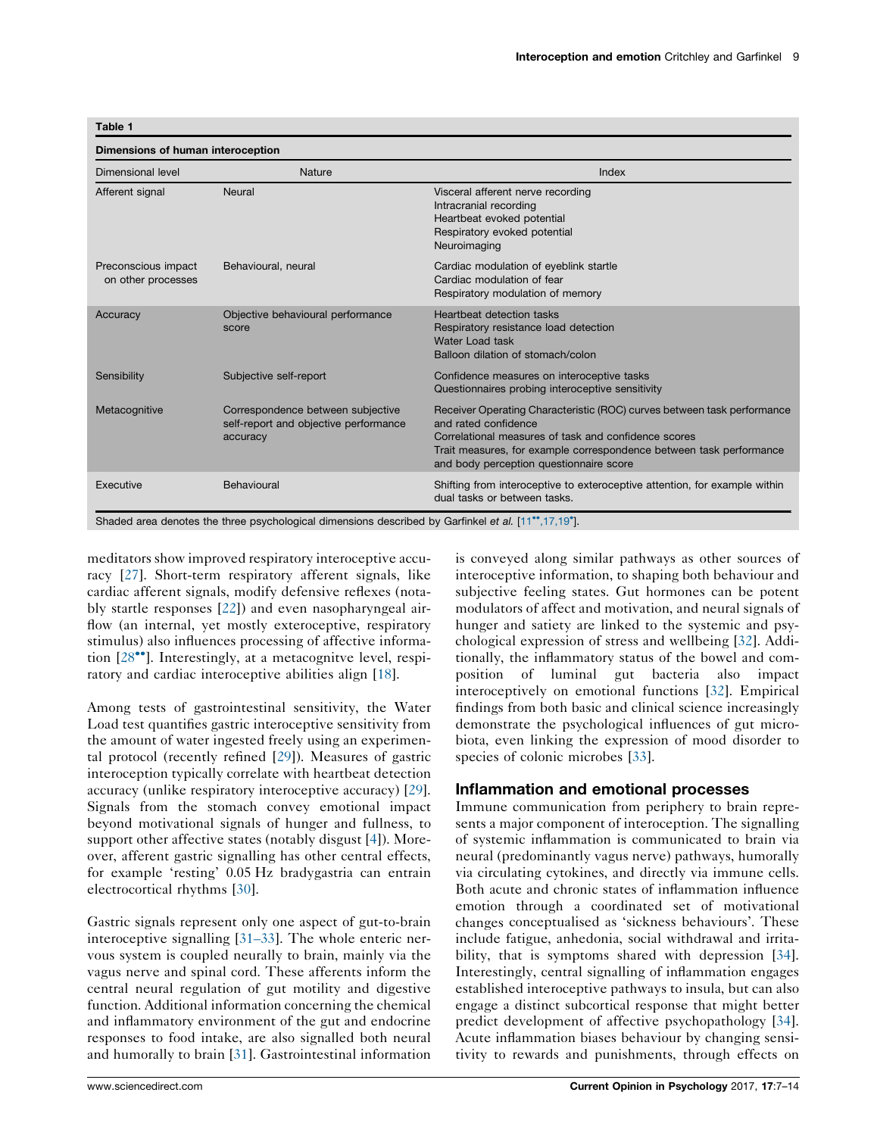<span id="page-2-0"></span>Table 1

| Dimensional level                         | Nature                                                                                 | Index                                                                                                                                                                                                                                                                     |
|-------------------------------------------|----------------------------------------------------------------------------------------|---------------------------------------------------------------------------------------------------------------------------------------------------------------------------------------------------------------------------------------------------------------------------|
| Afferent signal                           | Neural                                                                                 | Visceral afferent nerve recording<br>Intracranial recording<br>Heartbeat evoked potential<br>Respiratory evoked potential<br>Neuroimaging                                                                                                                                 |
| Preconscious impact<br>on other processes | Behavioural, neural                                                                    | Cardiac modulation of eyeblink startle<br>Cardiac modulation of fear<br>Respiratory modulation of memory                                                                                                                                                                  |
| Accuracy                                  | Objective behavioural performance<br>score                                             | Heartbeat detection tasks<br>Respiratory resistance load detection<br>Water Load task<br>Balloon dilation of stomach/colon                                                                                                                                                |
| Sensibility                               | Subjective self-report                                                                 | Confidence measures on interoceptive tasks<br>Questionnaires probing interoceptive sensitivity                                                                                                                                                                            |
| Metacognitive                             | Correspondence between subjective<br>self-report and objective performance<br>accuracy | Receiver Operating Characteristic (ROC) curves between task performance<br>and rated confidence<br>Correlational measures of task and confidence scores<br>Trait measures, for example correspondence between task performance<br>and body perception questionnaire score |
| Executive                                 | Behavioural                                                                            | Shifting from interoceptive to exteroceptive attention, for example within<br>dual tasks or between tasks.                                                                                                                                                                |

meditators show improved respiratory interoceptive accuracy [[27](#page-6-0)]. Short-term respiratory afferent signals, like cardiac afferent signals, modify defensive reflexes (notably startle responses [\[22](#page-6-0)]) and even nasopharyngeal airflow (an internal, yet mostly exteroceptive, respiratory stimulus) also influences processing of affective information  $[28\text{°}$ . Interestingly, at a [metacognitve](#page-6-0) level, respiratory and cardiac interoceptive abilities align [[18\]](#page-6-0).

Among tests of gastrointestinal sensitivity, the Water Load test quantifies gastric interoceptive sensitivity from the amount of water ingested freely using an experimental protocol (recently refined [[29\]](#page-6-0)). Measures of gastric interoception typically correlate with heartbeat detection accuracy (unlike respiratory interoceptive accuracy) [\[29](#page-6-0)]. Signals from the stomach convey emotional impact beyond motivational signals of hunger and fullness, to support other affective states (notably disgust [\[4](#page-5-0)]). Moreover, afferent gastric signalling has other central effects, for example 'resting' 0.05 Hz bradygastria can entrain electrocortical rhythms [\[30](#page-6-0)].

Gastric signals represent only one aspect of gut-to-brain interoceptive signalling [\[31–33](#page-6-0)]. The whole enteric nervous system is coupled neurally to brain, mainly via the vagus nerve and spinal cord. These afferents inform the central neural regulation of gut motility and digestive function. Additional information concerning the chemical and inflammatory environment of the gut and endocrine responses to food intake, are also signalled both neural and humorally to brain [\[31](#page-6-0)]. Gastrointestinal information is conveyed along similar pathways as other sources of interoceptive information, to shaping both behaviour and subjective feeling states. Gut hormones can be potent modulators of affect and motivation, and neural signals of hunger and satiety are linked to the systemic and psychological expression of stress and wellbeing [[32\]](#page-6-0). Additionally, the inflammatory status of the bowel and composition of luminal gut bacteria also impact interoceptively on emotional functions [\[32](#page-6-0)]. Empirical findings from both basic and clinical science increasingly demonstrate the psychological influences of gut microbiota, even linking the expression of mood disorder to species of colonic microbes [[33\]](#page-6-0).

## Inflammation and emotional processes

Immune communication from periphery to brain represents a major component of interoception. The signalling of systemic inflammation is communicated to brain via neural (predominantly vagus nerve) pathways, humorally via circulating cytokines, and directly via immune cells. Both acute and chronic states of inflammation influence emotion through a coordinated set of motivational changes conceptualised as 'sickness behaviours'. These include fatigue, anhedonia, social withdrawal and irrita-bility, that is symptoms shared with depression [[34\]](#page-6-0). Interestingly, central signalling of inflammation engages established interoceptive pathways to insula, but can also engage a distinct subcortical response that might better predict development of affective psychopathology [[34\]](#page-6-0). Acute inflammation biases behaviour by changing sensitivity to rewards and punishments, through effects on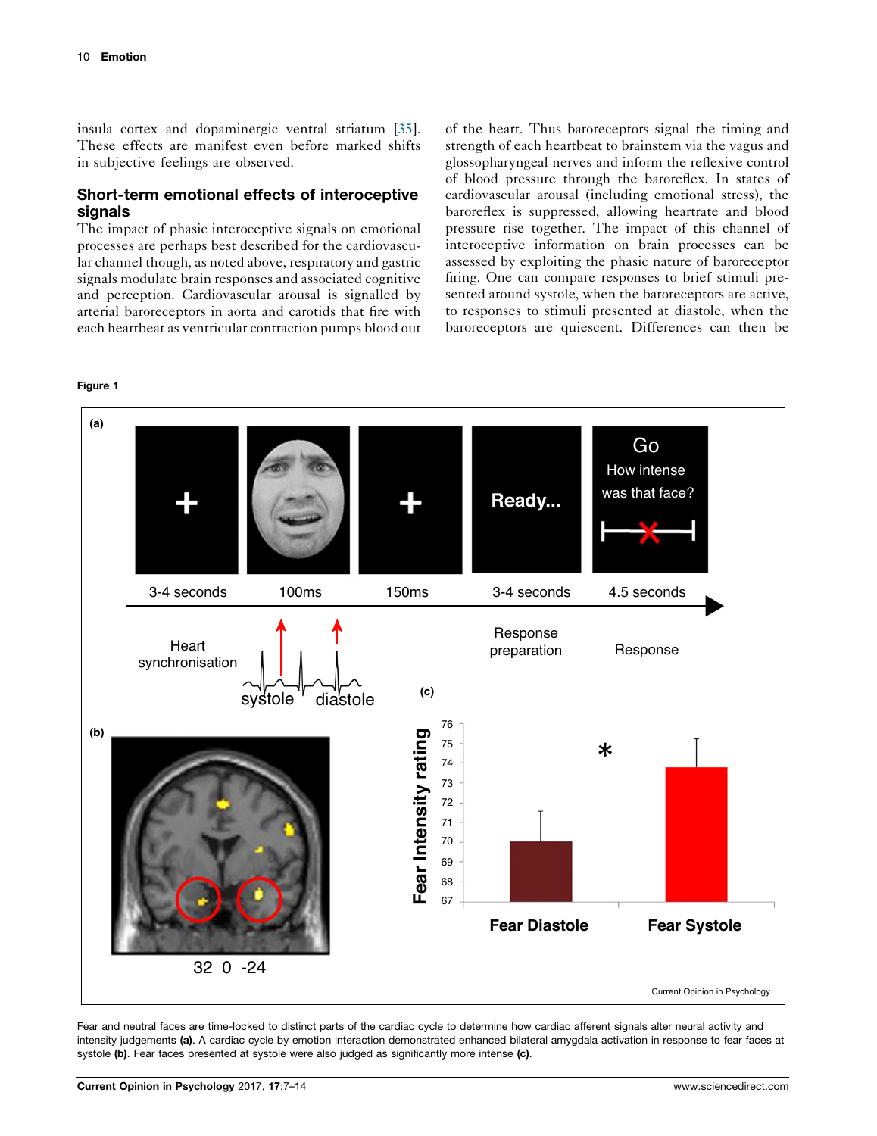<span id="page-3-0"></span>insula cortex and dopaminergic ventral striatum [\[35](#page-6-0)]. These effects are manifest even before marked shifts in subjective feelings are observed.

## Short-term emotional effects of interoceptive signals

The impact of phasic interoceptive signals on emotional processes are perhaps best described for the cardiovascular channel though, as noted above, respiratory and gastric signals modulate brain responses and associated cognitive and perception. Cardiovascular arousal is signalled by arterial baroreceptors in aorta and carotids that fire with each heartbeat as ventricular contraction pumps blood out of the heart. Thus baroreceptors signal the timing and strength of each heartbeat to brainstem via the vagus and glossopharyngeal nerves and inform the reflexive control of blood pressure through the baroreflex. In states of cardiovascular arousal (including emotional stress), the baroreflex is suppressed, allowing heartrate and blood pressure rise together. The impact of this channel of interoceptive information on brain processes can be assessed by exploiting the phasic nature of baroreceptor firing. One can compare responses to brief stimuli presented around systole, when the baroreceptors are active, to responses to stimuli presented at diastole, when the baroreceptors are quiescent. Differences can then be



Fear and neutral faces are time-locked to distinct parts of the cardiac cycle to determine how cardiac afferent signals alter neural activity and intensity judgements (a). A cardiac cycle by emotion interaction demonstrated enhanced bilateral amygdala activation in response to fear faces at systole (b). Fear faces presented at systole were also judged as significantly more intense (c).

#### Figure 1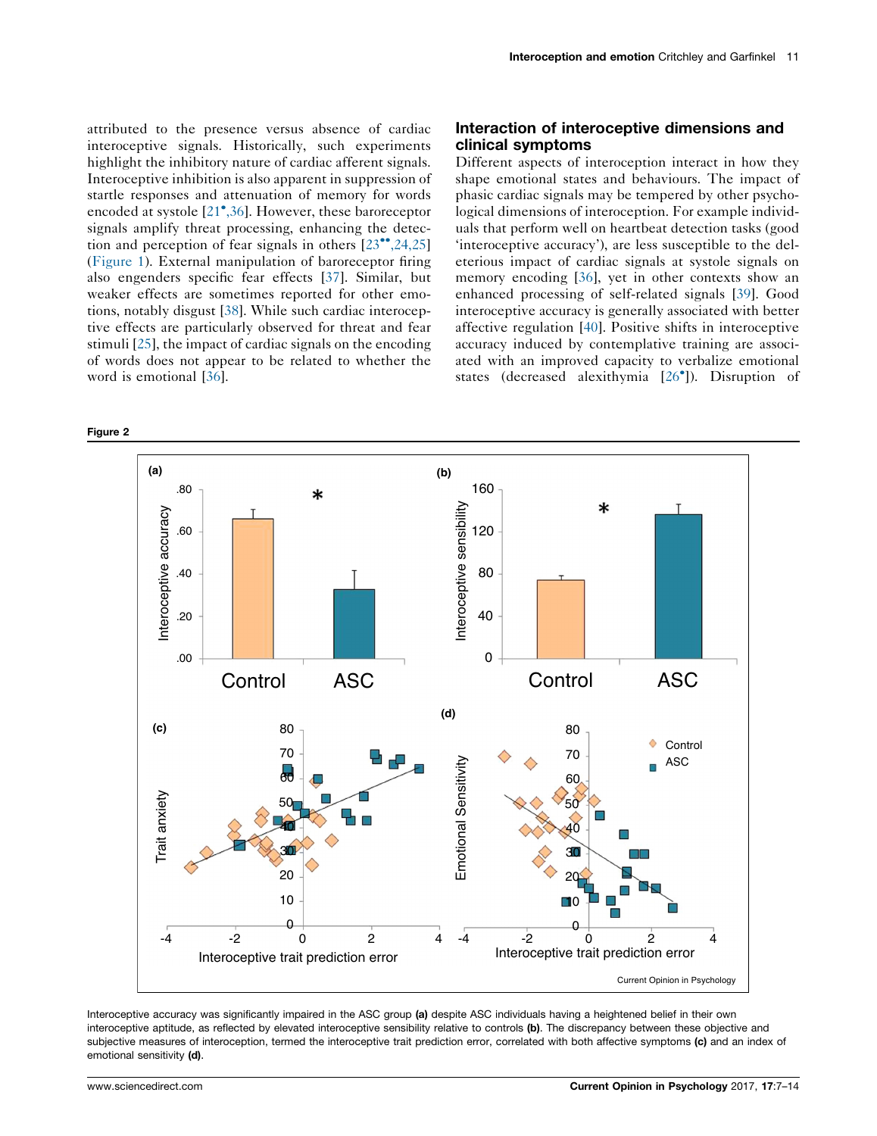<span id="page-4-0"></span>attributed to the presence versus absence of cardiac interoceptive signals. Historically, such experiments highlight the inhibitory nature of cardiac afferent signals. Interoceptive inhibition is also apparent in suppression of startle responses and attenuation of memory for words encoded at systole [21 [,36\]](#page-6-0). However, these baroreceptor signals amplify threat processing, enhancing the detection and perception of fear signals in others  $[23\degree, 24, 25]$ [\(Figure](#page-3-0) 1). External manipulation of baroreceptor firing also engenders specific fear effects [[37](#page-6-0)]. Similar, but weaker effects are sometimes reported for other emotions, notably disgust [[38\]](#page-6-0). While such cardiac interoceptive effects are particularly observed for threat and fear stimuli [[25\]](#page-6-0), the impact of cardiac signals on the encoding of words does not appear to be related to whether the word is emotional [\[36](#page-6-0)].

## Interaction of interoceptive dimensions and clinical symptoms

Different aspects of interoception interact in how they shape emotional states and behaviours. The impact of phasic cardiac signals may be tempered by other psychological dimensions of interoception. For example individuals that perform well on heartbeat detection tasks (good 'interoceptive accuracy'), are less susceptible to the deleterious impact of cardiac signals at systole signals on memory encoding [\[36](#page-6-0)], yet in other contexts show an enhanced processing of self-related signals [[39\]](#page-6-0). Good interoceptive accuracy is generally associated with better affective regulation [[40\]](#page-6-0). Positive shifts in interoceptive accuracy induced by contemplative training are associated with an improved capacity to verbalize emotional states (decreased alexithymia [26 ]). [Disruption](#page-6-0) of



Interoceptive accuracy was significantly impaired in the ASC group (a) despite ASC individuals having a heightened belief in their own interoceptive aptitude, as reflected by elevated interoceptive sensibility relative to controls (b). The discrepancy between these objective and subjective measures of interoception, termed the interoceptive trait prediction error, correlated with both affective symptoms (c) and an index of emotional sensitivity (d).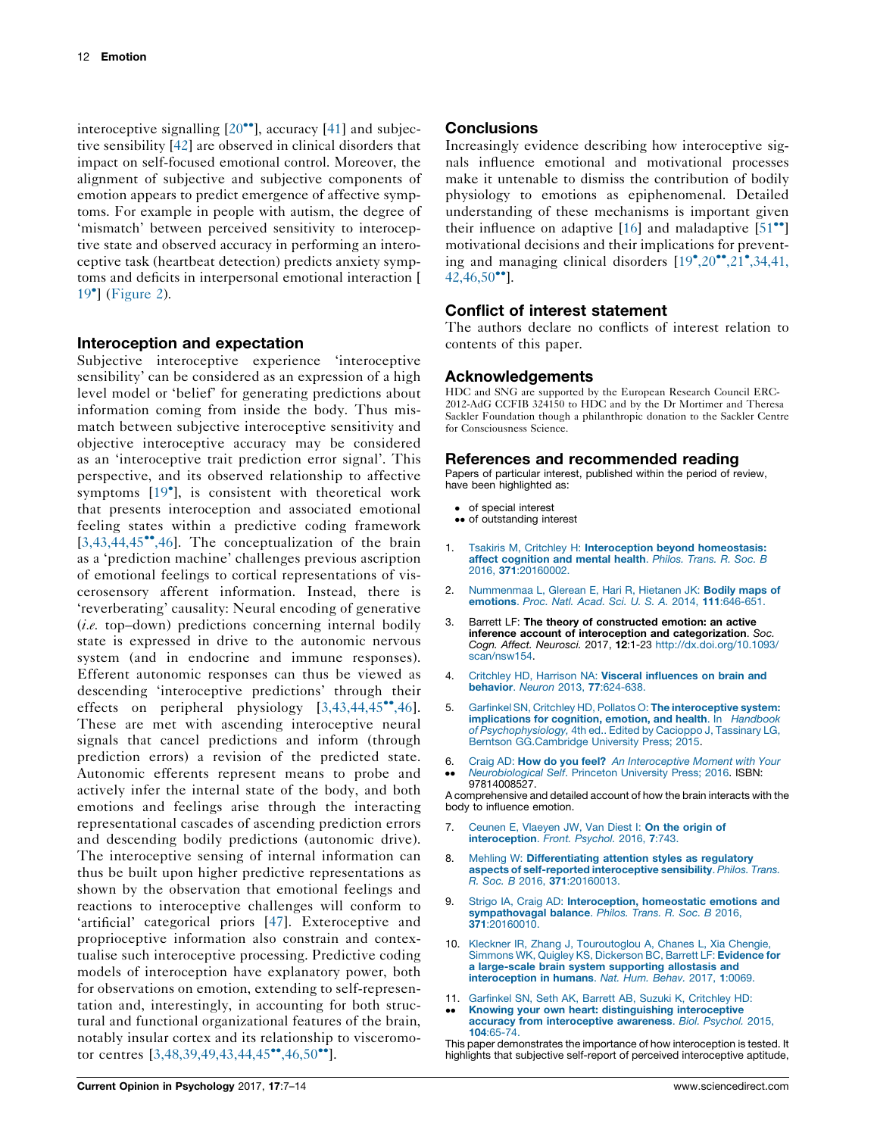<span id="page-5-0"></span>interoceptive signalling  $[20\text{°}$ ], [accuracy](#page-6-0)  $[41]$  $[41]$  and subjective sensibility [[42\]](#page-7-0) are observed in clinical disorders that impact on self-focused emotional control. Moreover, the alignment of subjective and subjective components of emotion appears to predict emergence of affective symptoms. For example in people with autism, the degree of 'mismatch' between perceived sensitivity to interoceptive state and observed accuracy in performing an interoceptive task (heartbeat detection) predicts anxiety symptoms and deficits in interpersonal emotional interaction [ [19](#page-6-0) ] ([Figure](#page-4-0) 2).

#### Interoception and expectation

Subjective interoceptive experience 'interoceptive sensibility' can be considered as an expression of a high level model or 'belief' for generating predictions about information coming from inside the body. Thus mismatch between subjective interoceptive sensitivity and objective interoceptive accuracy may be considered as an 'interoceptive trait prediction error signal'. This perspective, and its observed relationship to affective symptoms [19 ], is consistent with [theoretical](#page-6-0) work that presents interoception and associated emotional feeling states within a predictive coding framework  $[3,43,44,45^{\bullet\bullet},46]$ . The conceptualization of the brain as a 'prediction machine' challenges previous ascription of emotional feelings to cortical representations of viscerosensory afferent information. Instead, there is 'reverberating' causality: Neural encoding of generative (i.e. top–down) predictions concerning internal bodily state is expressed in drive to the autonomic nervous system (and in endocrine and immune responses). Efferent autonomic responses can thus be viewed as descending 'interoceptive predictions' through their effects on peripheral physiology  $[3,43,44,45^{\bullet\bullet},46]$ . These are met with ascending interoceptive neural signals that cancel predictions and inform (through prediction errors) a revision of the predicted state. Autonomic efferents represent means to probe and actively infer the internal state of the body, and both emotions and feelings arise through the interacting representational cascades of ascending prediction errors and descending bodily predictions (autonomic drive). The interoceptive sensing of internal information can thus be built upon higher predictive representations as shown by the observation that emotional feelings and reactions to interoceptive challenges will conform to 'artificial' categorical priors [[47](#page-7-0)]. Exteroceptive and proprioceptive information also constrain and contextualise such interoceptive processing. Predictive coding models of interoception have explanatory power, both for observations on emotion, extending to self-representation and, interestingly, in accounting for both structural and functional organizational features of the brain, notably insular cortex and its relationship to visceromotor centres  $[3,48,39,49,43,44,45^{\bullet\bullet},46,50^{\bullet\bullet}].$ 

## **Conclusions**

Increasingly evidence describing how interoceptive signals influence emotional and motivational processes make it untenable to dismiss the contribution of bodily physiology to emotions as epiphenomenal. Detailed understanding of these mechanisms is important given their influence on adaptive  $[16]$  $[16]$  and maladaptive  $[51\text{°}$  $[51\text{°}$  $[51\text{°}$ ] motivational decisions and their implications for preventing and managing clinical disorders  $[19^{\bullet}, 20^{\bullet \bullet}, 21^{\bullet}, 34, 41,$  $42,46,50$ <sup>\*</sup>].

## Conflict of interest statement

The authors declare no conflicts of interest relation to contents of this paper.

#### Acknowledgements

HDC and SNG are supported by the European Research Council ERC-2012-AdG CCFIB 324150 to HDC and by the Dr Mortimer and Theresa Sackler Foundation though a philanthropic donation to the Sackler Centre for Consciousness Science.

#### References and recommended reading

Papers of particular interest, published within the period of review, have been highlighted as:

- of special interest
- •• of outstanding interest
- 1. Tsakiris M, Critchley H: Interoception beyond [homeostasis:](http://refhub.elsevier.com/S2352-250X(17)30010-6/sbref0005) affect [cognition](http://refhub.elsevier.com/S2352-250X(17)30010-6/sbref0005) and mental health. Philos. Trans. R. Soc. B 2016, 371[:20160002.](http://refhub.elsevier.com/S2352-250X(17)30010-6/sbref0005)
- 2. [Nummenmaa](http://refhub.elsevier.com/S2352-250X(17)30010-6/sbref0010) L, Glerean E, Hari R, Hietanen JK: Bodily maps of [emotions](http://refhub.elsevier.com/S2352-250X(17)30010-6/sbref0010). Proc. Natl. Acad. Sci. U. S. A. 2014, 111:646-651.
- 3. Barrett LF: The theory of constructed emotion: an active inference account of interoception and categorization. Soc. Cogn. Affect. Neurosci. 2017, 12:1-23 [http://dx.doi.org/10.1093/](http://dx.doi.org/10.1093/scan/nsw154) [scan/nsw154.](http://dx.doi.org/10.1093/scan/nsw154)
- 4. Critchley HD, Harrison NA: Visceral [influences](http://refhub.elsevier.com/S2352-250X(17)30010-6/sbref0020) on brain and behavior. Neuron 2013, 77[:624-638.](http://refhub.elsevier.com/S2352-250X(17)30010-6/sbref0020)
- 5. Garfinkel SN, Critchley HD, Pollatos O: The [interoceptive](http://refhub.elsevier.com/S2352-250X(17)30010-6/sbref0025) system: [implications](http://refhub.elsevier.com/S2352-250X(17)30010-6/sbref0025) for cognition, emotion, and health. In Handbook of [Psychophysiology,](http://refhub.elsevier.com/S2352-250X(17)30010-6/sbref0025) 4th ed.. Edited by Cacioppo J, Tassinary LG, Berntson [GG.Cambridge](http://refhub.elsevier.com/S2352-250X(17)30010-6/sbref0025) University Press; 2015.
- 6.  $\bullet\bullet$ Craig AD: How do you feel? An [Interoceptive](http://refhub.elsevier.com/S2352-250X(17)30010-6/sbref0030) Moment with Your [Neurobiological](http://refhub.elsevier.com/S2352-250X(17)30010-6/sbref0030) Self. Princeton University Press; 2016. ISBN: [97814008527.](http://refhub.elsevier.com/S2352-250X(17)30010-6/sbref0030)

A comprehensive and detailed account of how the brain interacts with the body to influence emotion.

- 7. Ceunen E, [Vlaeyen](http://refhub.elsevier.com/S2352-250X(17)30010-6/sbref0035) JW, Van Diest I: On the origin of [interoception](http://refhub.elsevier.com/S2352-250X(17)30010-6/sbref0035). Front. Psychol. 2016, 7:743.
- 8. Mehling W: [Differentiating](http://refhub.elsevier.com/S2352-250X(17)30010-6/sbref0040) attention styles as regulatory aspects of self-reported [interoceptive](http://refhub.elsevier.com/S2352-250X(17)30010-6/sbref0040) sensibility. Philos. Trans. R. Soc. B 2016, 371[:20160013.](http://refhub.elsevier.com/S2352-250X(17)30010-6/sbref0040)
- 9. Strigo IA, Craig AD: [Interoception,](http://refhub.elsevier.com/S2352-250X(17)30010-6/sbref0045) homeostatic emotions and [sympathovagal](http://refhub.elsevier.com/S2352-250X(17)30010-6/sbref0045) balance. Philos. Trans. R. Soc. B 2016, 371[:20160010.](http://refhub.elsevier.com/S2352-250X(17)30010-6/sbref0045)
- 10. Kleckner IR, Zhang J, [Touroutoglou](http://refhub.elsevier.com/S2352-250X(17)30010-6/sbref0050) A, Chanes L, Xia Chengie,<br>Simmons WK, Quigley KS, [Dickerson](http://refhub.elsevier.com/S2352-250X(17)30010-6/sbref0050) BC, Barrett LF: Evidence for a [large-scale](http://refhub.elsevier.com/S2352-250X(17)30010-6/sbref0050) brain system supporting allostasis and [interoception](http://refhub.elsevier.com/S2352-250X(17)30010-6/sbref0050) in humans. Nat. Hum. Behav. 2017, 1:0069.
- 11. Garfinkel SN, Seth AK, Barrett AB, Suzuki K, [Critchley](http://refhub.elsevier.com/S2352-250X(17)30010-6/sbref0055) HD:
- $\ddot{\phantom{0}}$ Knowing your own heart: [distinguishing](http://refhub.elsevier.com/S2352-250X(17)30010-6/sbref0055) interoceptive accuracy from [interoceptive](http://refhub.elsevier.com/S2352-250X(17)30010-6/sbref0055) awareness. Biol. Psychol. 2015, 104[:65-74.](http://refhub.elsevier.com/S2352-250X(17)30010-6/sbref0055)

This paper demonstrates the importance of how interoception is tested. It highlights that subjective self-report of perceived interoceptive aptitude,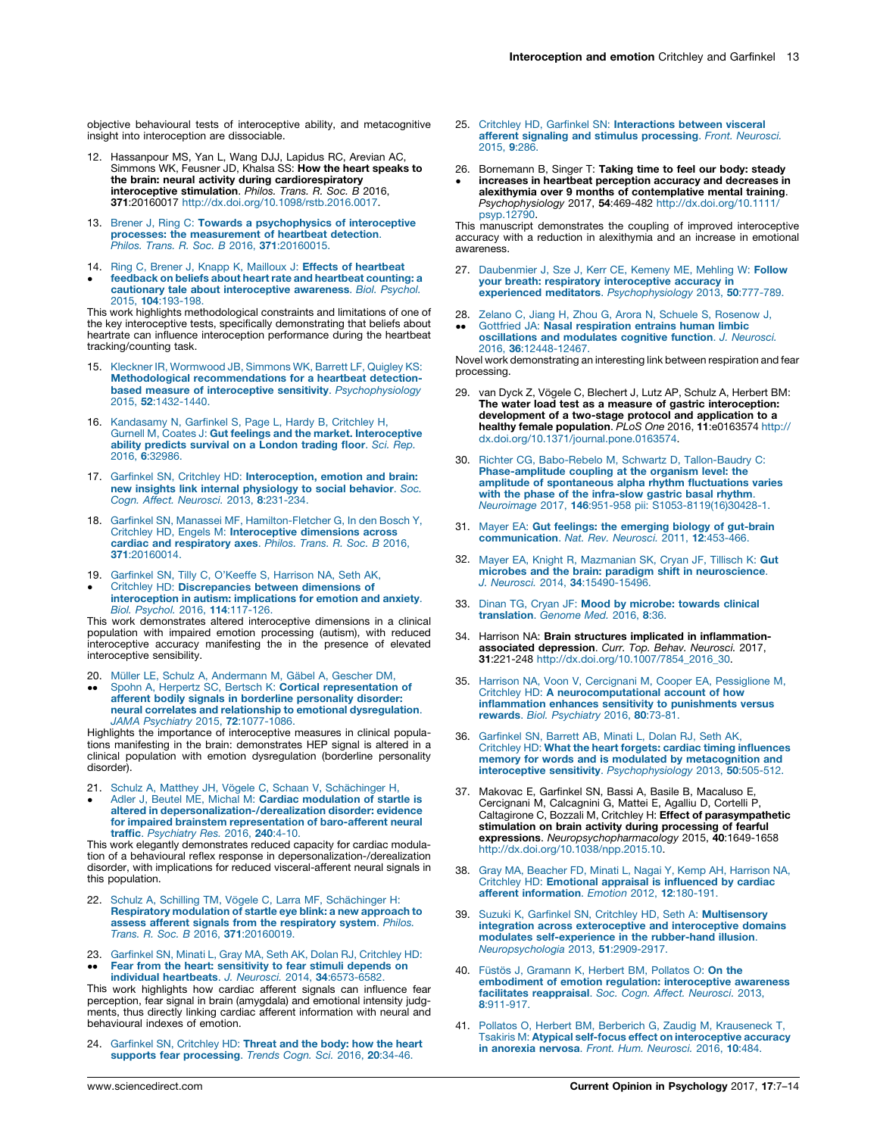<span id="page-6-0"></span>objective behavioural tests of interoceptive ability, and metacognitive insight into interoception are dissociable.

- 12. Hassanpour MS, Yan L, Wang DJJ, Lapidus RC, Arevian AC,<br>Simmons WK, Feusner JD, Khalsa SS: **How the heart speaks to<br>the brain: neural activity during cardiorespiratory interoceptive stimulation**. *Philos. Trans. R. Soc. B* 2016,<br>**371:**20160017 [http://dx.doi.org/10.1098/rstb.2016.0017.](http://dx.doi.org/10.1098/rstb.2016.0017)
- 13. Brener J, Ring C: Towards a [psychophysics](http://refhub.elsevier.com/S2352-250X(17)30010-6/sbref0065) of interoceptive processes: the [measurement](http://refhub.elsevier.com/S2352-250X(17)30010-6/sbref0065) of heartbeat detection. Philos. Trans. R. Soc. B 2016, 371[:20160015.](http://refhub.elsevier.com/S2352-250X(17)30010-6/sbref0065)
- 14. Ring C, Brener J, Knapp K, Mailloux J: Effects of [heartbeat](http://refhub.elsevier.com/S2352-250X(17)30010-6/sbref0070)
- <u>•</u> feedback on beliefs about heart rate and [heartbeat](http://refhub.elsevier.com/S2352-250X(17)30010-6/sbref0070) counting: a cautionary tale about [interoceptive](http://refhub.elsevier.com/S2352-250X(17)30010-6/sbref0070) awareness. Biol. Psychol. 2015, 104[:193-198.](http://refhub.elsevier.com/S2352-250X(17)30010-6/sbref0070)

This work highlights methodological constraints and limitations of one of the key interoceptive tests, specifically demonstrating that beliefs about heartrate can influence interoception performance during the heartbeat tracking/counting task.

- 15. Kleckner IR, [Wormwood](http://refhub.elsevier.com/S2352-250X(17)30010-6/sbref0075) JB, Simmons WK, Barrett LF, Quigley KS: Methodological [recommendations](http://refhub.elsevier.com/S2352-250X(17)30010-6/sbref0075) for a heartbeat detectionbased measure of interoceptive sensitivity. [Psychophysiology](http://refhub.elsevier.com/S2352-250X(17)30010-6/sbref0075) 2015, 52[:1432-1440.](http://refhub.elsevier.com/S2352-250X(17)30010-6/sbref0075)
- 16. [Kandasamy](http://refhub.elsevier.com/S2352-250X(17)30010-6/sbref0080) N, Garfinkel S, Page L, Hardy B, Critchley H, Gurnell M, Coates J: Gut feelings and the market. [Interoceptive](http://refhub.elsevier.com/S2352-250X(17)30010-6/sbref0080) ability [predicts](http://refhub.elsevier.com/S2352-250X(17)30010-6/sbref0080) survival on a London trading floor. Sci. Rep. 2016, 6[:32986.](http://refhub.elsevier.com/S2352-250X(17)30010-6/sbref0080)
- 17. Garfinkel SN, Critchley HD: [Interoception,](http://refhub.elsevier.com/S2352-250X(17)30010-6/sbref0085) emotion and brain: new insights link internal [physiology](http://refhub.elsevier.com/S2352-250X(17)30010-6/sbref0085) to social behavior. Soc. Cogn. Affect. Neurosci. 2013, 8[:231-234.](http://refhub.elsevier.com/S2352-250X(17)30010-6/sbref0085)
- 18. Garfinkel SN, Manassei MF, [Hamilton-Fletcher](http://refhub.elsevier.com/S2352-250X(17)30010-6/sbref0090) G, In den Bosch Y,<br>Critchley HD, Engels M: **[Interoceptive](http://refhub.elsevier.com/S2352-250X(17)30010-6/sbref0090) dimensions across**<br>**cardiac and [respiratory](http://refhub.elsevier.com/S2352-250X(17)30010-6/sbref0090) axes**. *Philos. Trans. R. Soc. B* 2016, 371[:20160014.](http://refhub.elsevier.com/S2352-250X(17)30010-6/sbref0090)
- 19. [Garfinkel](http://refhub.elsevier.com/S2352-250X(17)30010-6/sbref0095) SN, Tilly C, O'Keeffe S, Harrison NA, Seth AK,
- $\bullet$ Critchley HD: [Discrepancies](http://refhub.elsevier.com/S2352-250X(17)30010-6/sbref0095) between dimensions of [interoception](http://refhub.elsevier.com/S2352-250X(17)30010-6/sbref0095) in autism: implications for emotion and anxiety. Biol. Psychol. 2016, 114[:117-126.](http://refhub.elsevier.com/S2352-250X(17)30010-6/sbref0095)

This work demonstrates altered interoceptive dimensions in a clinical population with impaired emotion processing (autism), with reduced interoceptive accuracy manifesting the in the presence of elevated interoceptive sensibility.

- 20. Müller LE, Schulz A, [Andermann](http://refhub.elsevier.com/S2352-250X(17)30010-6/sbref0100) M, Gäbel A, Gescher DM,<br>Spohn A, Herpertz SC, Bertsch K: **Cortical [representation](http://refhub.elsevier.com/S2352-250X(17)30010-6/sbref0100) of**
- $\ddot{\phantom{0}}$ afferent bodily signals in borderline [personality](http://refhub.elsevier.com/S2352-250X(17)30010-6/sbref0100) disorder: neural correlates and relationship to emotional [dysregulation](http://refhub.elsevier.com/S2352-250X(17)30010-6/sbref0100). JAMA Psychiatry 2015, 72[:1077-1086.](http://refhub.elsevier.com/S2352-250X(17)30010-6/sbref0100)

Highlights the importance of interoceptive measures in clinical populations manifesting in the brain: demonstrates HEP signal is altered in a clinical population with emotion dysregulation (borderline personality disorder).

21. Schulz A, [Matthey](http://refhub.elsevier.com/S2352-250X(17)30010-6/sbref0105) JH, Vögele C, Schaan V, Schächinger H,

 $\bullet$ Adler J, Beutel ME, Michal M: Cardiac [modulation](http://refhub.elsevier.com/S2352-250X(17)30010-6/sbref0105) of startle is altered in [depersonalization-/derealization](http://refhub.elsevier.com/S2352-250X(17)30010-6/sbref0105) disorder: evidence for impaired brainstem [representation](http://refhub.elsevier.com/S2352-250X(17)30010-6/sbref0105) of baro-afferent neural traffic. [Psychiatry](http://refhub.elsevier.com/S2352-250X(17)30010-6/sbref0105) Res. 2016, 240:4-10.

This work elegantly demonstrates reduced capacity for cardiac modulation of a behavioural reflex response in depersonalization-/derealization disorder, with implications for reduced visceral-afferent neural signals in this population.

- 22. Schulz A, [Schilling](http://refhub.elsevier.com/S2352-250X(17)30010-6/sbref0110) TM, Vögele C, Larra MF, Schächinger H: [Respiratory](http://refhub.elsevier.com/S2352-250X(17)30010-6/sbref0110) modulation of startle eye blink: a new approach to assess afferent signals from the [respiratory](http://refhub.elsevier.com/S2352-250X(17)30010-6/sbref0110) system. Philos. Trans. R. Soc. B 2016, 371[:20160019.](http://refhub.elsevier.com/S2352-250X(17)30010-6/sbref0110)
- 23.  $\bullet$ [Garfinkel](http://refhub.elsevier.com/S2352-250X(17)30010-6/sbref0115) SN, Minati L, Gray MA, Seth AK, Dolan RJ, Critchley HD:<br>**Fear from the heart: [sensitivity](http://refhub.elsevier.com/S2352-250X(17)30010-6/sbref0115) to fear stimuli depends on** individual heartbeats. J. Neurosci. 2014, 34[:6573-6582.](http://refhub.elsevier.com/S2352-250X(17)30010-6/sbref0115)

This work highlights how cardiac afferent signals can influence fear perception, fear signal in brain (amygdala) and emotional intensity judgments, thus directly linking cardiac afferent information with neural and behavioural indexes of emotion.

24. [Garfinkel](http://refhub.elsevier.com/S2352-250X(17)30010-6/sbref0120) SN, Critchley HD: Threat and the body: how the heart supports fear [processing](http://refhub.elsevier.com/S2352-250X(17)30010-6/sbref0120). Trends Cogn. Sci. 2016, 20:34-46.

- 25. Critchley HD, Garfinkel SN: [Interactions](http://refhub.elsevier.com/S2352-250X(17)30010-6/sbref0125) between visceral afferent signaling and stimulus [processing](http://refhub.elsevier.com/S2352-250X(17)30010-6/sbref0125). Front. Neurosci. [2015,](http://refhub.elsevier.com/S2352-250X(17)30010-6/sbref0125) 9:286.
- 26. Bornemann B, Singer T: Taking time to feel our body: steady
- Ĩ increases in heartbeat perception accuracy and decreases in alexithymia over 9 months of contemplative mental training. Psychophysiology 2017, 54:469-482 [http://dx.doi.org/10.1111/](http://dx.doi.org/10.1111/psyp.12790) [psyp.12790.](http://dx.doi.org/10.1111/psyp.12790)

This manuscript demonstrates the coupling of improved interoceptive accuracy with a reduction in alexithymia and an increase in emotional awareness.

- 27. [Daubenmier](http://refhub.elsevier.com/S2352-250X(17)30010-6/sbref0135) J. Sze J. Kerr CE, Kemeny ME, Mehling W: Follow your breath: respiratory [interoceptive](http://refhub.elsevier.com/S2352-250X(17)30010-6/sbref0135) accuracy in experienced meditators. [Psychophysiology](http://refhub.elsevier.com/S2352-250X(17)30010-6/sbref0135) 2013, 50:777-789.
- 28. Zelano C, Jiang H, Zhou G, Arora N, Schuele S, [Rosenow](http://refhub.elsevier.com/S2352-250X(17)30010-6/sbref0140) J,
- $\ddot{\phantom{0}}$ Gottfried JA: Nasal [respiration](http://refhub.elsevier.com/S2352-250X(17)30010-6/sbref0140) entrains human limbic [oscillations](http://refhub.elsevier.com/S2352-250X(17)30010-6/sbref0140) and modulates cognitive function. J. Neurosci. 2016, 36[:12448-12467.](http://refhub.elsevier.com/S2352-250X(17)30010-6/sbref0140)

Novel work demonstrating an interesting link between respiration and fear processing.

- 29. van Dyck Z, Vögele C, Blechert J, Lutz AP, Schulz A, Herbert BM: The water load test as a measure of gastric interoception: development of a two-stage protocol and application to a healthy female population. PLoS One 2016, 11:e0163574 [http://](http://dx.doi.org/10.1371/journal.pone.0163574) [dx.doi.org/10.1371/journal.pone.0163574.](http://dx.doi.org/10.1371/journal.pone.0163574)
- 30. Richter CG, Babo-Rebelo M, Schwartz D, [Tallon-Baudry](http://refhub.elsevier.com/S2352-250X(17)30010-6/sbref0150) C: [Phase-amplitude](http://refhub.elsevier.com/S2352-250X(17)30010-6/sbref0150) coupling at the organism level: the amplitude of [spontaneous](http://refhub.elsevier.com/S2352-250X(17)30010-6/sbref0150) alpha rhythm fluctuations varies with the phase of the [infra-slow](http://refhub.elsevier.com/S2352-250X(17)30010-6/sbref0150) gastric basal rhythm. Neuroimage 2017, 146:951-958 pii: [S1053-8119\(16\)30428-1.](http://refhub.elsevier.com/S2352-250X(17)30010-6/sbref0150)
- 31. Mayer EA: Gut feelings: the [emerging](http://refhub.elsevier.com/S2352-250X(17)30010-6/sbref0155) biology of gut-brain [communication](http://refhub.elsevier.com/S2352-250X(17)30010-6/sbref0155). Nat. Rev. Neurosci. 2011, 12:453-466.
- 32. Mayer EA, Knight R, [Mazmanian](http://refhub.elsevier.com/S2352-250X(17)30010-6/sbref0160) SK, Cryan JF, Tillisch K: Gut microbes and the brain: paradigm shift in [neuroscience](http://refhub.elsevier.com/S2352-250X(17)30010-6/sbref0160). J. Neurosci. 2014, 34[:15490-15496.](http://refhub.elsevier.com/S2352-250X(17)30010-6/sbref0160)
- 33. Dinan TG, Cryan JF: Mood by [microbe:](http://refhub.elsevier.com/S2352-250X(17)30010-6/sbref0165) towards clinical [translation](http://refhub.elsevier.com/S2352-250X(17)30010-6/sbref0165). Genome Med. 2016, 8:36.
- 34. Harrison NA: Brain structures implicated in inflammation**associated depression**. *Curr. Top. Behav. Neurosci.* 2017,<br>**31**:221-248 [http://dx.doi.org/10.1007/7854\\_2016\\_30](http://dx.doi.org/10.1007/7854_2016_30).
- 35. Harrison NA, Voon V, Cercignani M, Cooper EA, [Pessiglione](http://refhub.elsevier.com/S2352-250X(17)30010-6/sbref0175) M, Critchley HD: A [neurocomputational](http://refhub.elsevier.com/S2352-250X(17)30010-6/sbref0175) account of how [inflammation](http://refhub.elsevier.com/S2352-250X(17)30010-6/sbref0175) enhances sensitivity to punishments versus rewards. Biol. [Psychiatry](http://refhub.elsevier.com/S2352-250X(17)30010-6/sbref0175) 2016, 80:73-81.
- 36. [Garfinkel](http://refhub.elsevier.com/S2352-250X(17)30010-6/sbref0180) SN, Barrett AB, Minati L, Dolan RJ, Seth AK, Critchley HD: What the heart forgets: cardiac timing [influences](http://refhub.elsevier.com/S2352-250X(17)30010-6/sbref0180) memory for words and is modulated by [metacognition](http://refhub.elsevier.com/S2352-250X(17)30010-6/sbref0180) and interoceptive sensitivity. [Psychophysiology](http://refhub.elsevier.com/S2352-250X(17)30010-6/sbref0180) 2013, 50:505-512.
- 37. Makovac E, Garfinkel SN, Bassi A, Basile B, Macaluso E, Cercignani M, Calcagnini G, Mattei E, Agalliu D, Cortelli P,<br>Caltagirone C, Bozzali M, Critchley H: **Effect of parasympathetic** stimulation on brain activity during processing of fearful<br>expressions. Neuropsychopharmacology 2015, 40:1649-1658 [http://dx.doi.org/10.1038/npp.2015.10.](http://dx.doi.org/10.1038/npp.2015.10)
- 38. Gray MA, Beacher FD, Minati L, Nagai Y, Kemp AH, [Harrison](http://refhub.elsevier.com/S2352-250X(17)30010-6/sbref0190) NA, Critchley HD: Emotional appraisal is [influenced](http://refhub.elsevier.com/S2352-250X(17)30010-6/sbref0190) by cardiac afferent [information](http://refhub.elsevier.com/S2352-250X(17)30010-6/sbref0190). Emotion 2012, 12:180-191.
- 39. Suzuki K, Garfinkel SN, Critchley HD, Seth A: [Multisensory](http://refhub.elsevier.com/S2352-250X(17)30010-6/sbref0195) integration across [exteroceptive](http://refhub.elsevier.com/S2352-250X(17)30010-6/sbref0195) and interoceptive domains modulates [self-experience](http://refhub.elsevier.com/S2352-250X(17)30010-6/sbref0195) in the rubber-hand illusion. [Neuropsychologia](http://refhub.elsevier.com/S2352-250X(17)30010-6/sbref0195) 2013, 51:2909-2917.
- 40. Füstös J. [Gramann](http://refhub.elsevier.com/S2352-250X(17)30010-6/sbref0200) K. Herbert BM, Pollatos O: On the embodiment of emotion regulation: [interoceptive](http://refhub.elsevier.com/S2352-250X(17)30010-6/sbref0200) awareness<br>facilitates [reappraisal](http://refhub.elsevier.com/S2352-250X(17)30010-6/sbref0200). Soc. Cogn. Affect. Neurosci. 2013, 8[:911-917.](http://refhub.elsevier.com/S2352-250X(17)30010-6/sbref0200)
- 41. Pollatos O, Herbert BM, Berberich G, Zaudig M, [Krauseneck](http://refhub.elsevier.com/S2352-250X(17)30010-6/sbref0205) T, Tsakiris M: Atypical self-focus effect on [interoceptive](http://refhub.elsevier.com/S2352-250X(17)30010-6/sbref0205) accuracy in anorexia nervosa. Front. Hum. [Neurosci.](http://refhub.elsevier.com/S2352-250X(17)30010-6/sbref0205) 2016, 10:484.